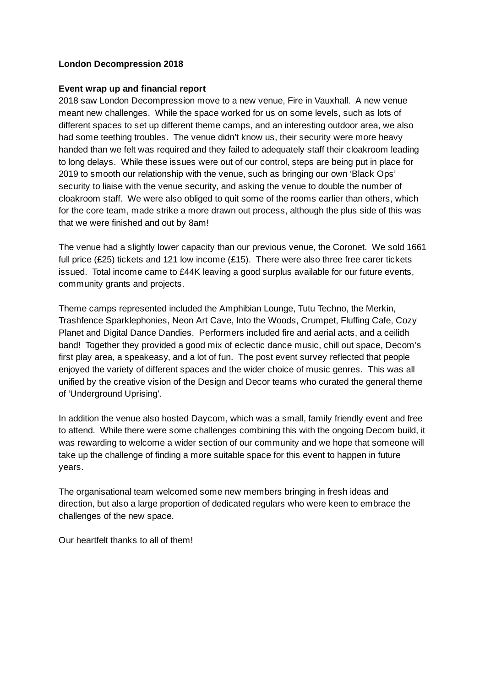## **London Decompression 2018**

## **Event wrap up and financial report**

2018 saw London Decompression move to a new venue, Fire in Vauxhall. A new venue meant new challenges. While the space worked for us on some levels, such as lots of different spaces to set up different theme camps, and an interesting outdoor area, we also had some teething troubles. The venue didn't know us, their security were more heavy handed than we felt was required and they failed to adequately staff their cloakroom leading to long delays. While these issues were out of our control, steps are being put in place for 2019 to smooth our relationship with the venue, such as bringing our own 'Black Ops' security to liaise with the venue security, and asking the venue to double the number of cloakroom staff. We were also obliged to quit some of the rooms earlier than others, which for the core team, made strike a more drawn out process, although the plus side of this was that we were finished and out by 8am!

The venue had a slightly lower capacity than our previous venue, the Coronet. We sold 1661 full price (£25) tickets and 121 low income (£15). There were also three free carer tickets issued. Total income came to £44K leaving a good surplus available for our future events, community grants and projects.

Theme camps represented included the Amphibian Lounge, Tutu Techno, the Merkin, Trashfence Sparklephonies, Neon Art Cave, Into the Woods, Crumpet, Fluffing Cafe, Cozy Planet and Digital Dance Dandies. Performers included fire and aerial acts, and a ceilidh band! Together they provided a good mix of eclectic dance music, chill out space, Decom's first play area, a speakeasy, and a lot of fun. The post event survey reflected that people enjoyed the variety of different spaces and the wider choice of music genres. This was all unified by the creative vision of the Design and Decor teams who curated the general theme of 'Underground Uprising'.

In addition the venue also hosted Daycom, which was a small, family friendly event and free to attend. While there were some challenges combining this with the ongoing Decom build, it was rewarding to welcome a wider section of our community and we hope that someone will take up the challenge of finding a more suitable space for this event to happen in future years.

The organisational team welcomed some new members bringing in fresh ideas and direction, but also a large proportion of dedicated regulars who were keen to embrace the challenges of the new space.

Our heartfelt thanks to all of them!